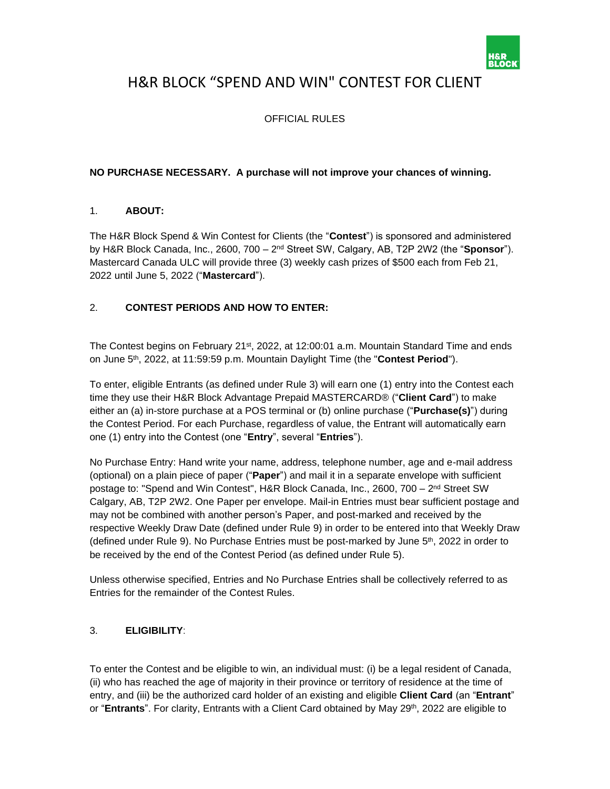

# H&R BLOCK "SPEND AND WIN" CONTEST FOR CLIENT

OFFICIAL RULES

## **NO PURCHASE NECESSARY. A purchase will not improve your chances of winning.**

## 1. **ABOUT:**

The H&R Block Spend & Win Contest for Clients (the "**Contest**") is sponsored and administered by H&R Block Canada, Inc., 2600, 700 – 2<sup>nd</sup> Street SW, Calgary, AB, T2P 2W2 (the "**Sponsor**"). Mastercard Canada ULC will provide three (3) weekly cash prizes of \$500 each from Feb 21, 2022 until June 5, 2022 ("**Mastercard**").

## 2. **CONTEST PERIODS AND HOW TO ENTER:**

The Contest begins on February 21<sup>st</sup>, 2022, at 12:00:01 a.m. Mountain Standard Time and ends on June 5<sup>th</sup>, 2022, at 11:59:59 p.m. Mountain Daylight Time (the "**Contest Period**").

To enter, eligible Entrants (as defined under Rule 3) will earn one (1) entry into the Contest each time they use their H&R Block Advantage Prepaid MASTERCARD® ("**Client Card**") to make either an (a) in-store purchase at a POS terminal or (b) online purchase ("**Purchase(s)**") during the Contest Period. For each Purchase, regardless of value, the Entrant will automatically earn one (1) entry into the Contest (one "**Entry**", several "**Entries**").

No Purchase Entry: Hand write your name, address, telephone number, age and e-mail address (optional) on a plain piece of paper ("**Paper**") and mail it in a separate envelope with sufficient postage to: "Spend and Win Contest", H&R Block Canada, Inc., 2600, 700 – 2<sup>nd</sup> Street SW Calgary, AB, T2P 2W2. One Paper per envelope. Mail-in Entries must bear sufficient postage and may not be combined with another person's Paper, and post-marked and received by the respective Weekly Draw Date (defined under Rule 9) in order to be entered into that Weekly Draw (defined under Rule 9). No Purchase Entries must be post-marked by June 5 th, 2022 in order to be received by the end of the Contest Period (as defined under Rule 5).

Unless otherwise specified, Entries and No Purchase Entries shall be collectively referred to as Entries for the remainder of the Contest Rules.

# 3. **ELIGIBILITY**:

To enter the Contest and be eligible to win, an individual must: (i) be a legal resident of Canada, (ii) who has reached the age of majority in their province or territory of residence at the time of entry, and (iii) be the authorized card holder of an existing and eligible **Client Card** (an "**Entrant**" or "**Entrants**". For clarity, Entrants with a Client Card obtained by May 29<sup>th</sup>, 2022 are eligible to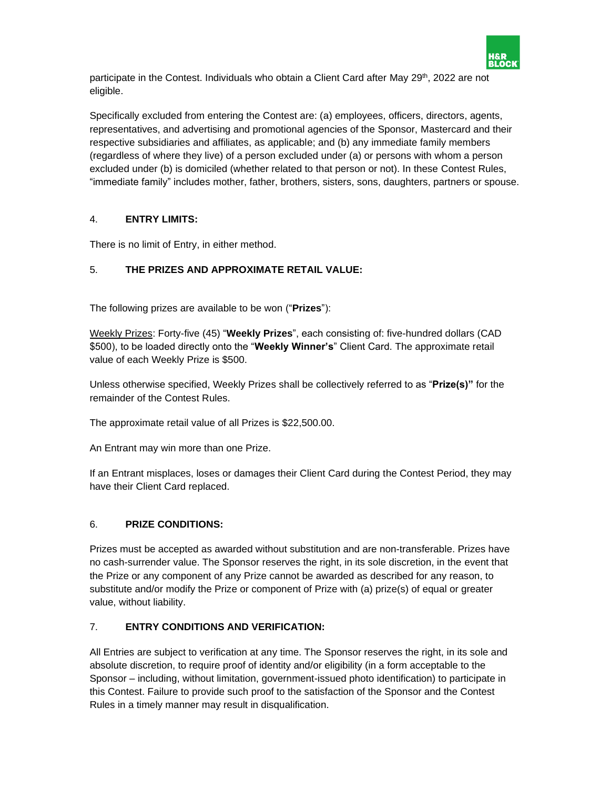

participate in the Contest. Individuals who obtain a Client Card after May 29<sup>th</sup>, 2022 are not eligible.

Specifically excluded from entering the Contest are: (a) employees, officers, directors, agents, representatives, and advertising and promotional agencies of the Sponsor, Mastercard and their respective subsidiaries and affiliates, as applicable; and (b) any immediate family members (regardless of where they live) of a person excluded under (a) or persons with whom a person excluded under (b) is domiciled (whether related to that person or not). In these Contest Rules, "immediate family" includes mother, father, brothers, sisters, sons, daughters, partners or spouse.

# 4. **ENTRY LIMITS:**

There is no limit of Entry, in either method.

## 5. **THE PRIZES AND APPROXIMATE RETAIL VALUE:**

The following prizes are available to be won ("**Prizes**"):

Weekly Prizes: Forty-five (45) "**Weekly Prizes**", each consisting of: five-hundred dollars (CAD \$500), to be loaded directly onto the "**Weekly Winner's**" Client Card. The approximate retail value of each Weekly Prize is \$500.

Unless otherwise specified, Weekly Prizes shall be collectively referred to as "**Prize(s)"** for the remainder of the Contest Rules.

The approximate retail value of all Prizes is \$22,500.00.

An Entrant may win more than one Prize.

If an Entrant misplaces, loses or damages their Client Card during the Contest Period, they may have their Client Card replaced.

#### 6. **PRIZE CONDITIONS:**

Prizes must be accepted as awarded without substitution and are non-transferable. Prizes have no cash-surrender value. The Sponsor reserves the right, in its sole discretion, in the event that the Prize or any component of any Prize cannot be awarded as described for any reason, to substitute and/or modify the Prize or component of Prize with (a) prize(s) of equal or greater value, without liability.

#### 7. **ENTRY CONDITIONS AND VERIFICATION:**

All Entries are subject to verification at any time. The Sponsor reserves the right, in its sole and absolute discretion, to require proof of identity and/or eligibility (in a form acceptable to the Sponsor – including, without limitation, government-issued photo identification) to participate in this Contest. Failure to provide such proof to the satisfaction of the Sponsor and the Contest Rules in a timely manner may result in disqualification.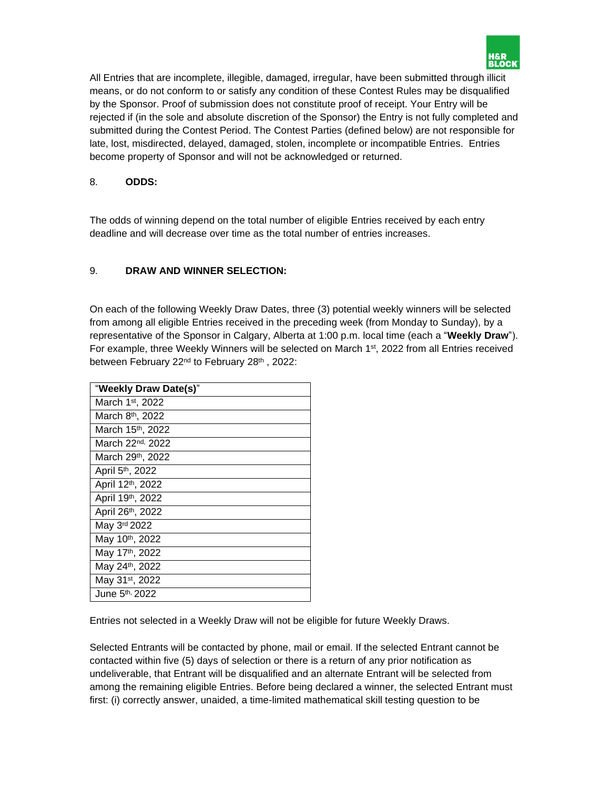

All Entries that are incomplete, illegible, damaged, irregular, have been submitted through illicit means, or do not conform to or satisfy any condition of these Contest Rules may be disqualified by the Sponsor. Proof of submission does not constitute proof of receipt. Your Entry will be rejected if (in the sole and absolute discretion of the Sponsor) the Entry is not fully completed and submitted during the Contest Period. The Contest Parties (defined below) are not responsible for late, lost, misdirected, delayed, damaged, stolen, incomplete or incompatible Entries. Entries become property of Sponsor and will not be acknowledged or returned.

#### 8. **ODDS:**

The odds of winning depend on the total number of eligible Entries received by each entry deadline and will decrease over time as the total number of entries increases.

## 9. **DRAW AND WINNER SELECTION:**

On each of the following Weekly Draw Dates, three (3) potential weekly winners will be selected from among all eligible Entries received in the preceding week (from Monday to Sunday), by a representative of the Sponsor in Calgary, Alberta at 1:00 p.m. local time (each a "**Weekly Draw**"). For example, three Weekly Winners will be selected on March 1<sup>st</sup>, 2022 from all Entries received between February 22<sup>nd</sup> to February 28<sup>th</sup>, 2022:

| "Weekly Draw Date(s)"        |
|------------------------------|
| March 1 <sup>st</sup> , 2022 |
| March 8 <sup>th</sup> , 2022 |
| March 15th, 2022             |
| March 22 <sup>nd,</sup> 2022 |
| March 29th, 2022             |
| April 5 <sup>th</sup> , 2022 |
| April 12th, 2022             |
| April 19th, 2022             |
| April 26th, 2022             |
| May 3rd 2022                 |
| May 10th, 2022               |
| May 17 <sup>th</sup> , 2022  |
| May 24th, 2022               |
| May 31 <sup>st</sup> , 2022  |
| June 5 <sup>th,</sup> 2022   |

Entries not selected in a Weekly Draw will not be eligible for future Weekly Draws.

Selected Entrants will be contacted by phone, mail or email. If the selected Entrant cannot be contacted within five (5) days of selection or there is a return of any prior notification as undeliverable, that Entrant will be disqualified and an alternate Entrant will be selected from among the remaining eligible Entries. Before being declared a winner, the selected Entrant must first: (i) correctly answer, unaided, a time-limited mathematical skill testing question to be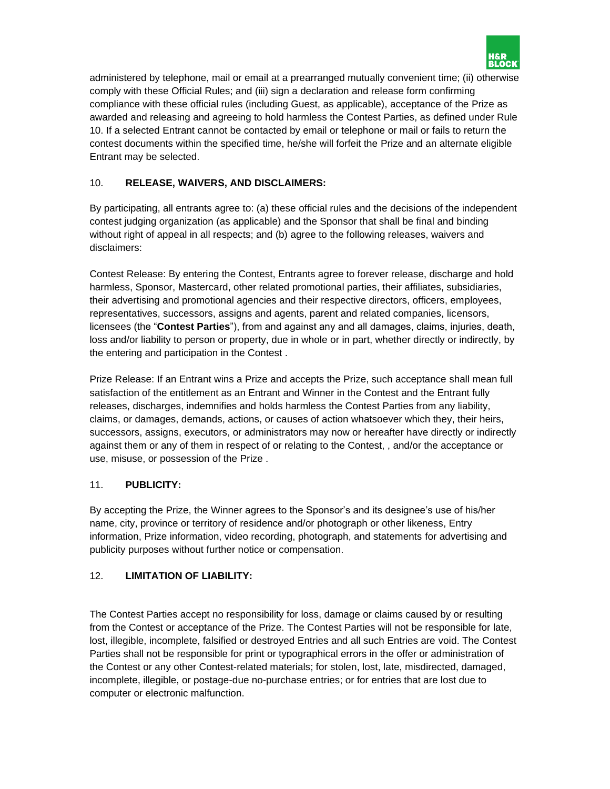

administered by telephone, mail or email at a prearranged mutually convenient time; (ii) otherwise comply with these Official Rules; and (iii) sign a declaration and release form confirming compliance with these official rules (including Guest, as applicable), acceptance of the Prize as awarded and releasing and agreeing to hold harmless the Contest Parties, as defined under Rule 10. If a selected Entrant cannot be contacted by email or telephone or mail or fails to return the contest documents within the specified time, he/she will forfeit the Prize and an alternate eligible Entrant may be selected.

## 10. **RELEASE, WAIVERS, AND DISCLAIMERS:**

By participating, all entrants agree to: (a) these official rules and the decisions of the independent contest judging organization (as applicable) and the Sponsor that shall be final and binding without right of appeal in all respects; and (b) agree to the following releases, waivers and disclaimers:

Contest Release: By entering the Contest, Entrants agree to forever release, discharge and hold harmless, Sponsor, Mastercard, other related promotional parties, their affiliates, subsidiaries, their advertising and promotional agencies and their respective directors, officers, employees, representatives, successors, assigns and agents, parent and related companies, licensors, licensees (the "**Contest Parties**"), from and against any and all damages, claims, injuries, death, loss and/or liability to person or property, due in whole or in part, whether directly or indirectly, by the entering and participation in the Contest .

Prize Release: If an Entrant wins a Prize and accepts the Prize, such acceptance shall mean full satisfaction of the entitlement as an Entrant and Winner in the Contest and the Entrant fully releases, discharges, indemnifies and holds harmless the Contest Parties from any liability, claims, or damages, demands, actions, or causes of action whatsoever which they, their heirs, successors, assigns, executors, or administrators may now or hereafter have directly or indirectly against them or any of them in respect of or relating to the Contest, , and/or the acceptance or use, misuse, or possession of the Prize .

#### 11. **PUBLICITY:**

By accepting the Prize, the Winner agrees to the Sponsor's and its designee's use of his/her name, city, province or territory of residence and/or photograph or other likeness, Entry information, Prize information, video recording, photograph, and statements for advertising and publicity purposes without further notice or compensation.

#### 12. **LIMITATION OF LIABILITY:**

The Contest Parties accept no responsibility for loss, damage or claims caused by or resulting from the Contest or acceptance of the Prize. The Contest Parties will not be responsible for late, lost, illegible, incomplete, falsified or destroyed Entries and all such Entries are void. The Contest Parties shall not be responsible for print or typographical errors in the offer or administration of the Contest or any other Contest-related materials; for stolen, lost, late, misdirected, damaged, incomplete, illegible, or postage-due no-purchase entries; or for entries that are lost due to computer or electronic malfunction.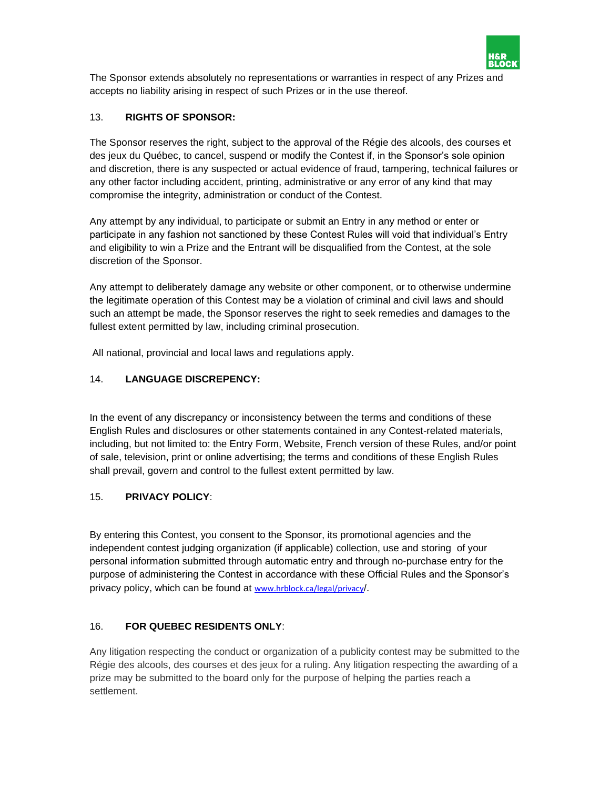

The Sponsor extends absolutely no representations or warranties in respect of any Prizes and accepts no liability arising in respect of such Prizes or in the use thereof.

## 13. **RIGHTS OF SPONSOR:**

The Sponsor reserves the right, subject to the approval of the Régie des alcools, des courses et des jeux du Québec, to cancel, suspend or modify the Contest if, in the Sponsor's sole opinion and discretion, there is any suspected or actual evidence of fraud, tampering, technical failures or any other factor including accident, printing, administrative or any error of any kind that may compromise the integrity, administration or conduct of the Contest.

Any attempt by any individual, to participate or submit an Entry in any method or enter or participate in any fashion not sanctioned by these Contest Rules will void that individual's Entry and eligibility to win a Prize and the Entrant will be disqualified from the Contest, at the sole discretion of the Sponsor.

Any attempt to deliberately damage any website or other component, or to otherwise undermine the legitimate operation of this Contest may be a violation of criminal and civil laws and should such an attempt be made, the Sponsor reserves the right to seek remedies and damages to the fullest extent permitted by law, including criminal prosecution.

All national, provincial and local laws and regulations apply.

## 14. **LANGUAGE DISCREPENCY:**

In the event of any discrepancy or inconsistency between the terms and conditions of these English Rules and disclosures or other statements contained in any Contest-related materials, including, but not limited to: the Entry Form, Website, French version of these Rules, and/or point of sale, television, print or online advertising; the terms and conditions of these English Rules shall prevail, govern and control to the fullest extent permitted by law.

#### 15. **PRIVACY POLICY**:

By entering this Contest, you consent to the Sponsor, its promotional agencies and the independent contest judging organization (if applicable) collection, use and storing of your personal information submitted through automatic entry and through no-purchase entry for the purpose of administering the Contest in accordance with these Official Rules and the Sponsor's privacy policy, which can be found at [www.hrblock.ca/legal/privacy](http://www.hrblock.ca/legal/privacy)/.

#### 16. **FOR QUEBEC RESIDENTS ONLY**:

Any litigation respecting the conduct or organization of a publicity contest may be submitted to the Régie des alcools, des courses et des jeux for a ruling. Any litigation respecting the awarding of a prize may be submitted to the board only for the purpose of helping the parties reach a settlement.